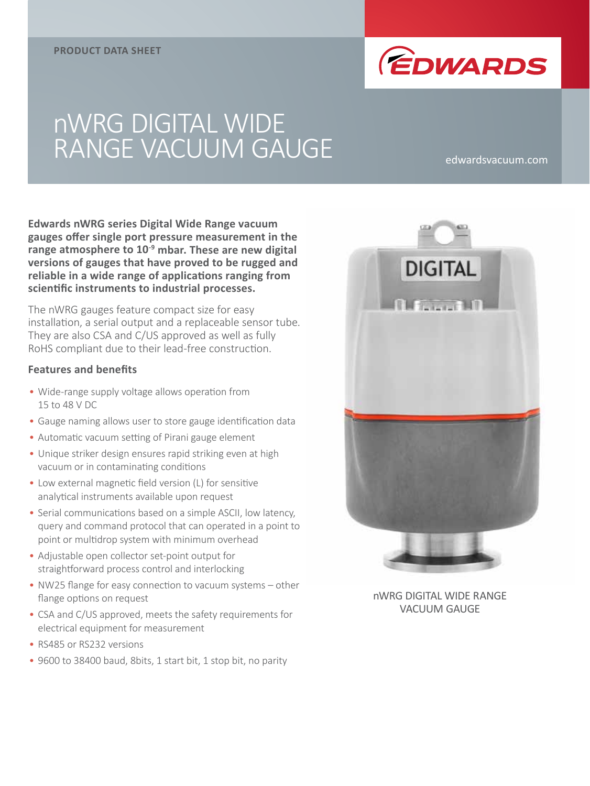

# nWRG DIGITAL WIDE RANGE VACUUM GAUGE edwardsvacuum.com

**Edwards nWRG series Digital Wide Range vacuum gauges offer single port pressure measurement in the range atmosphere to 10-9 mbar. These are new digital versions of gauges that have proved to be rugged and reliable in a wide range of applications ranging from scientific instruments to industrial processes.**

The nWRG gauges feature compact size for easy installation, a serial output and a replaceable sensor tube. They are also CSA and C/US approved as well as fully RoHS compliant due to their lead-free construction.

### **Features and benefits**

- Wide-range supply voltage allows operation from 15 to 48 V DC
- Gauge naming allows user to store gauge identification data
- Automatic vacuum setting of Pirani gauge element
- Unique striker design ensures rapid striking even at high vacuum or in contaminating conditions
- Low external magnetic field version (L) for sensitive analytical instruments available upon request
- Serial communications based on a simple ASCII, low latency, query and command protocol that can operated in a point to point or multidrop system with minimum overhead
- Adjustable open collector set-point output for straightforward process control and interlocking
- NW25 flange for easy connection to vacuum systems other flange options on request
- CSA and C/US approved, meets the safety requirements for electrical equipment for measurement
- RS485 or RS232 versions
- 9600 to 38400 baud, 8bits, 1 start bit, 1 stop bit, no parity



nWRG DIGITAL WIDE RANGE VACUUM GAUGE